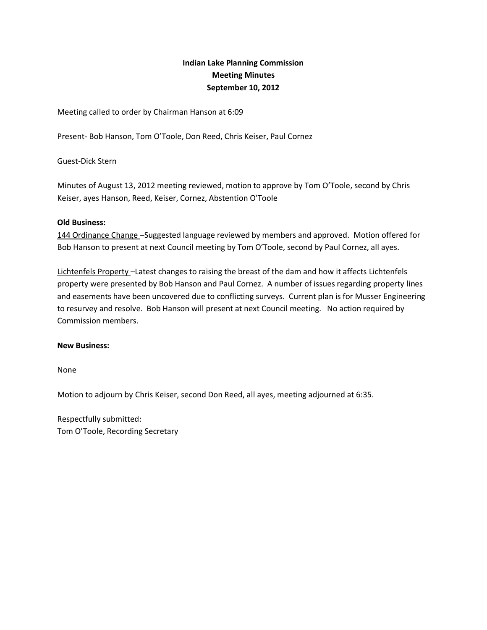# **Indian Lake Planning Commission Meeting Minutes September 10, 2012**

Meeting called to order by Chairman Hanson at 6:09

Present- Bob Hanson, Tom O'Toole, Don Reed, Chris Keiser, Paul Cornez

Guest-Dick Stern

Minutes of August 13, 2012 meeting reviewed, motion to approve by Tom O'Toole, second by Chris Keiser, ayes Hanson, Reed, Keiser, Cornez, Abstention O'Toole

### **Old Business:**

144 Ordinance Change –Suggested language reviewed by members and approved. Motion offered for Bob Hanson to present at next Council meeting by Tom O'Toole, second by Paul Cornez, all ayes.

Lichtenfels Property –Latest changes to raising the breast of the dam and how it affects Lichtenfels property were presented by Bob Hanson and Paul Cornez. A number of issues regarding property lines and easements have been uncovered due to conflicting surveys. Current plan is for Musser Engineering to resurvey and resolve. Bob Hanson will present at next Council meeting. No action required by Commission members.

#### **New Business:**

None

Motion to adjourn by Chris Keiser, second Don Reed, all ayes, meeting adjourned at 6:35.

Respectfully submitted: Tom O'Toole, Recording Secretary